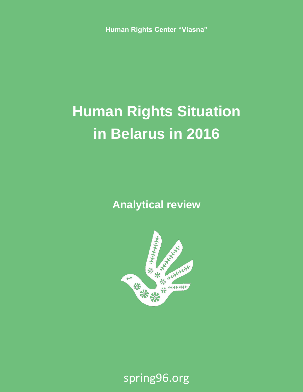**Human Rights Center "Viasna"**

# **Human Rights Situation in Belarus in 2016**

**Analytical review**



spring96.org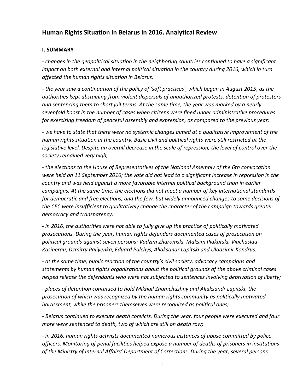# **Human Rights Situation in Belarus in 2016. Analytical Review**

#### **I. SUMMARY**

*- changes in the geopolitical situation in the neighboring countries continued to have a significant impact on both external and internal political situation in the country during 2016, which in turn affected the human rights situation in Belarus;*

*- the year saw a continuation of the policy of 'soft practices', which began in August 2015, as the authorities kept abstaining from violent dispersals of unauthorized protests, detention of protesters and sentencing them to short jail terms. At the same time, the year was marked by a nearly sevenfold boost in the number of cases when citizens were fined under administrative procedures for exercising freedom of peaceful assembly and expression, as compared to the previous year;*

*- we have to state that there were no systemic changes aimed at a qualitative improvement of the human rights situation in the country. Basic civil and political rights were still restricted at the legislative level. Despite an overall decrease in the scale of repression, the level of control over the society remained very high;*

*- the elections to the House of Representatives of the National Assembly of the 6th convocation were held on 11 September 2016; the vote did not lead to a significant increase in repression in the country and was held against a more favorable internal political background than in earlier campaigns. At the same time, the elections did not meet a number of key international standards for democratic and free elections, and the few, but widely announced changes to some decisions of the CEC were insufficient to qualitatively change the character of the campaign towards greater democracy and transparency;*

*- in 2016, the authorities were not able to fully give up the practice of politically motivated prosecutions. During the year, human rights defenders documented cases of prosecution on political grounds against seven persons: Vadzim Zharomski, Maksim Piakarski, Viachaslau Kasinerau, Dzmitry Paliyenka, Eduard Palchys, Aliaksandr Lapitski and Uladzimir Kondrus.*

*- at the same time, public reaction of the country's civil society, advocacy campaigns and statements by human rights organizations about the political grounds of the above criminal cases helped release the defendants who were not subjected to sentences involving deprivation of liberty;*

*- places of detention continued to hold Mikhail Zhamchuzhny and Aliaksandr Lapitski, the prosecution of which was recognized by the human rights community as politically motivated harassment, while the prisoners themselves were recognized as political ones;*

*- Belarus continued to execute death convicts. During the year, four people were executed and four more were sentenced to death, two of which are still on death row;*

*- in 2016, human rights activists documented numerous instances of abuse committed by police officers. Monitoring of penal facilities helped expose a number of deaths of prisoners in institutions of the Ministry of Internal Affairs' Department of Corrections. During the year, several persons*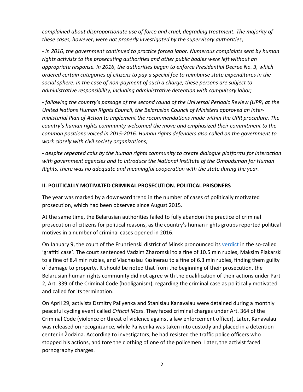*complained about disproportionate use of force and cruel, degrading treatment. The majority of these cases, however, were not properly investigated by the supervisory authorities;*

*- in 2016, the government continued to practice forced labor. Numerous complaints sent by human rights activists to the prosecuting authorities and other public bodies were left without an appropriate response. In 2016, the authorities began to enforce Presidential Decree No. 3, which ordered certain categories of citizens to pay a special fee to reimburse state expenditures in the social sphere. In the case of non-payment of such a charge, these persons are subject to administrative responsibility, including administrative detention with compulsory labor;*

*- following the country's passage of the second round of the Universal Periodic Review (UPR) at the United Nations Human Rights Council, the Belarusian Council of Ministers approved an interministerial Plan of Action to implement the recommendations made within the UPR procedure. The country's human rights community welcomed the move and emphasized their commitment to the common positions voiced in 2015-2016. Human rights defenders also called on the government to work closely with civil society organizations;*

*- despite repeated calls by the human rights community to create dialogue platforms for interaction with government agencies and to introduce the National Institute of the Ombudsman for Human Rights, there was no adequate and meaningful cooperation with the state during the year.*

#### **II. POLITICALLY MOTIVATED CRIMINAL PROSECUTION. POLITICAL PRISONERS**

The year was marked by a downward trend in the number of cases of politically motivated prosecution, which had been observed since August 2015.

At the same time, the Belarusian authorities failed to fully abandon the practice of criminal prosecution of citizens for political reasons, as the country's human rights groups reported political motives in a number of criminal cases opened in 2016.

On January 9, the court of the Frunzienski district of Minsk pronounced its [verdict](https://spring96.org/en/news/82113) in the so-called 'graffiti case'. The court sentenced Vadzim Zharomski to a fine of 10.5 mln rubles, Maksim Piakarski to a fine of 8.4 mln rubles, and Viachaslau Kasinerau to a fine of 6.3 mln rubles, finding them guilty of damage to property. It should be noted that from the beginning of their prosecution, the Belarusian human rights community did not agree with the qualification of their actions under Part 2, Art. 339 of the Criminal Code (hooliganism), regarding the criminal case as politically motivated and called for its termination.

On April 29, activists Dzmitry Paliyenka and Stanislau Kanavalau were detained during a monthly peaceful cycling event called *Critical Mass*. They faced criminal charges under Art. 364 of the Criminal Code (violence or threat of violence against a law enforcement officer). Later, Kanavalau was released on recognizance, while Paliyenka was taken into custody and placed in a detention center in Žodzina. According to investigators, he had resisted the traffic police officers who stopped his actions, and tore the clothing of one of the policemen. Later, the activist faced pornography charges.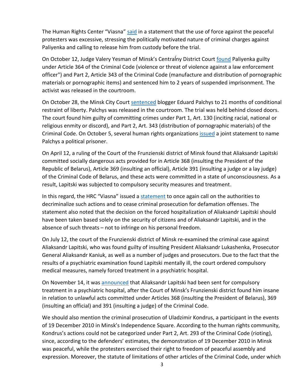The Human Rights Center "Viasna" [said](http://spring96.org/en/news/83035) in a statement that the use of force against the peaceful protesters was excessive, stressing the politically motivated nature of criminal charges against Paliyenka and calling to release him from custody before the trial.

On October 12, Judge Valery Yesman of Minsk's Centralny District Court **[found](http://spring96.org/en/news/85192)** Paliyenka guilty under Article 364 of the Criminal Code (violence or threat of violence against a law enforcement officer") and Part 2, Article 343 of the Criminal Code (manufacture and distribution of pornographic materials or pornographic items) and sentenced him to 2 years of suspended imprisonment. The activist was released in the courtroom.

On October 28, the Minsk City Court [sentenced](https://spring96.org/en/news/85308) blogger Eduard Palchys to 21 months of conditional restraint of liberty. Palchys was released in the courtroom. The trial was held behind closed doors. The court found him guilty of committing crimes under Part 1, Art. 130 (inciting racial, national or religious enmity or discord), and Part 2, Art. 343 (distribution of pornographic materials) of the Criminal Code. On October 5, several human rights organizations [issued](https://spring96.org/en/news/85127) a joint statement to name Palchys a political prisoner.

On April 12, a ruling of the Court of the Frunzienski district of Minsk found that Aliaksandr Lapitski committed socially dangerous acts provided for in Article 368 (insulting the President of the Republic of Belarus), Article 369 (insulting an official), Article 391 (insulting a judge or a lay judge) of the Criminal Code of Belarus, and these acts were committed in a state of unconsciousness. As a result, Lapitski was subjected to compulsory security measures and treatment.

In this regard, the HRC "Viasna" issued a [statement](https://spring96.org/en/news/82813) to once again call on the authorities to decriminalize such actions and to cease criminal prosecution for defamation offenses. The statement also noted that the decision on the forced hospitalization of Aliaksandr Lapitski should have been taken based solely on the security of citizens and of Aliaksandr Lapitski, and in the absence of such threats – not to infringe on his personal freedom.

On July 12, the court of the Frunzienski district of Minsk re-examined the criminal case against Aliaksandr Lapitski, who was found guilty of insulting President Aliaksandr Lukashenka, Prosecutor General Aliaksandr Kaniuk, as well as a number of judges and prosecutors. Due to the fact that the results of a psychiatric examination found Lapitski mentally ill, the court ordered compulsory medical measures, namely forced treatment in a psychiatric hospital.

On November 14, it was [announced](https://spring96.org/en/news/85405) that Aliaksandr Lapitski had been sent for compulsory treatment in a psychiatric hospital, after the Court of Minsk's Frunzienski district found him insane in relation to unlawful acts committed under Articles 368 (insulting the President of Belarus), 369 (insulting an official) and 391 (insulting a judge) of the Criminal Code.

We should also mention the criminal prosecution of Uladzimir Kondrus, a participant in the events of 19 December 2010 in Minsk's Independence Square. According to the human rights community, Kondrus's actions could not be categorized under Part 2, Art. 293 of the Criminal Code (rioting), since, according to the defenders' estimates, the demonstration of 19 December 2010 in Minsk was peaceful, while the protesters exercised their right to freedom of peaceful assembly and expression. Moreover, the statute of limitations of other articles of the Criminal Code, under which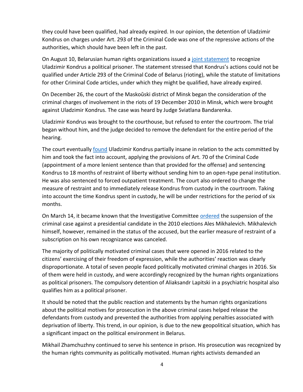they could have been qualified, had already expired. In our opinion, the detention of Uladzimir Kondrus on charges under Art. 293 of the Criminal Code was one of the repressive actions of the authorities, which should have been left in the past.

On August 10, Belarusian human rights organizations issued a [joint statement](https://spring96.org/en/news/84325) to recognize Uladzimir Kondrus a political prisoner. The statement stressed that Kondrus's actions could not be qualified under Article 293 of the Criminal Code of Belarus (rioting), while the statute of limitations for other Criminal Code articles, under which they might be qualified, have already expired.

On December 26, the court of the Maskoŭski district of Minsk began the consideration of the criminal charges of involvement in the riots of 19 December 2010 in Minsk, which were brought against Uladzimir Kondrus. The case was heard by Judge Sviatlana Bandarenka.

Uladzimir Kondrus was brought to the courthouse, but refused to enter the courtroom. The trial began without him, and the judge decided to remove the defendant for the entire period of the hearing.

The court eventually [found](https://spring96.org/en/news/85696) Uladzimir Kondrus partially insane in relation to the acts committed by him and took the fact into account, applying the provisions of Art. 70 of the Criminal Code (appointment of a more lenient sentence than that provided for the offense) and sentencing Kondrus to 18 months of restraint of liberty without sending him to an open-type penal institution. He was also sentenced to forced outpatient treatment. The court also ordered to change the measure of restraint and to immediately release Kondrus from custody in the courtroom. Taking into account the time Kondrus spent in custody, he will be under restrictions for the period of six months.

On March 14, it became known that the Investigative Committee [ordered](https://spring96.org/en/news/82549) the suspension of the criminal case against a presidential candidate in the 2010 elections Ales Mikhalevich. Mikhalevich himself, however, remained in the status of the accused, but the earlier measure of restraint of a subscription on his own recognizance was canceled.

The majority of politically motivated criminal cases that were opened in 2016 related to the citizens' exercising of their freedom of expression, while the authorities' reaction was clearly disproportionate. A total of seven people faced politically motivated criminal charges in 2016. Six of them were held in custody, and were accordingly recognized by the human rights organizations as political prisoners. The compulsory detention of Aliaksandr Lapitski in a psychiatric hospital also qualifies him as a political prisoner.

It should be noted that the public reaction and statements by the human rights organizations about the political motives for prosecution in the above criminal cases helped release the defendants from custody and prevented the authorities from applying penalties associated with deprivation of liberty. This trend, in our opinion, is due to the new geopolitical situation, which has a significant impact on the political environment in Belarus.

Mikhail Zhamchuzhny continued to serve his sentence in prison. His prosecution was recognized by the human rights community as politically motivated. Human rights activists demanded an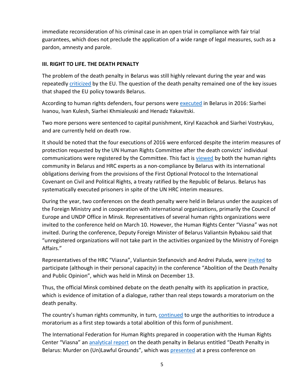immediate reconsideration of his criminal case in an open trial in compliance with fair trial guarantees, which does not preclude the application of a wide range of legal measures, such as a pardon, amnesty and parole.

#### **III. RIGHT TO LIFE. THE DEATH PENALTY**

The problem of the death penalty in Belarus was still highly relevant during the year and was repeatedly [criticized](http://dp.spring96.org/en/news/85717) by the EU. The question of the death penalty remained one of the key issues that shaped the EU policy towards Belarus.

According to human rights defenders, four persons were [executed](http://dp.spring96.org/en/news/85550) in Belarus in 2016: Siarhei Ivanou, Ivan Kulesh, Siarhei Khmialeuski and Henadz Yakavitski.

Two more persons were sentenced to capital punishment, Kiryl Kazachok and Siarhei Vostrykau, and are currently held on death row.

It should be noted that the four executions of 2016 were enforced despite the interim measures of protection requested by the UN Human Rights Committee after the death convicts' individual communications were registered by the Committee. This fact is [viewed](http://dp.spring96.org/en/news/85576) by both the human rights community in Belarus and HRC experts as a non-compliance by Belarus with its international obligations deriving from the provisions of the First Optional Protocol to the International Covenant on Civil and Political Rights, a treaty ratified by the Republic of Belarus. Belarus has systematically executed prisoners in spite of the UN HRC interim measures.

During the year, two conferences on the death penalty were held in Belarus under the auspices of the Foreign Ministry and in cooperation with international organizations, primarily the Council of Europe and UNDP Office in Minsk. Representatives of several human rights organizations were invited to the conference held on March 10. However, the Human Rights Center "Viasna" was not invited. During the conference, Deputy Foreign Minister of Belarus Valiantsin Rybakou said that "unregistered organizations will not take part in the activities organized by the Ministry of Foreign Affairs."

Representatives of the HRC "Viasna", Valiantsin Stefanovich and Andrei Paluda, were [invited](http://dp.spring96.org/en/news/85632) to participate (although in their personal capacity) in the conference "Abolition of the Death Penalty and Public Opinion", which was held in Minsk on December 13.

Thus, the official Minsk combined debate on the death penalty with its application in practice, which is evidence of imitation of a dialogue, rather than real steps towards a moratorium on the death penalty.

The country's human rights community, in turn, **continued** to urge the authorities to introduce a moratorium as a first step towards a total abolition of this form of punishment.

The International Federation for Human Rights prepared in cooperation with the Human Rights Center "Viasna" an [analytical report](http://dp.spring96.org/en/news/85125) on the death penalty in Belarus entitled "Death Penalty in Belarus: Murder on (Un)Lawful Grounds", which was [presented](http://dp.spring96.org/en/news/85135) at a press conference on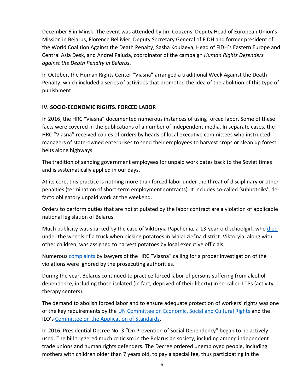December 6 in Minsk. The event was attended by Jim Couzens, Deputy Head of European Union's Mission in Belarus, Florence Bellivier, Deputy Secretary General of FIDH and former president of the World Coalition Against the Death Penalty, Sasha Koulaeva, Head of FIDH's Eastern Europe and Central Asia Desk, and Andrei Paluda, coordinator of the campaign *Human Rights Defenders against the Death Penalty in Belarus*.

In October, the Human Rights Center "Viasna" arranged a traditional Week Against the Death Penalty, which included a series of activities that promoted the idea of the abolition of this type of punishment.

# **IV. SOCIO-ECONOMIC RIGHTS. FORCED LABOR**

In 2016, the HRC "Viasna" documented numerous instances of using forced labor. Some of these facts were covered in the publications of a number of independent media. In separate cases, the HRC "Viasna" received copies of orders by heads of local executive committees who instructed managers of state-owned enterprises to send their employees to harvest crops or clean up forest belts along highways.

The tradition of sending government employees for unpaid work dates back to the Soviet times and is systematically applied in our days.

At its core, this practice is nothing more than forced labor under the threat of disciplinary or other penalties (termination of short-term employment contracts). It includes so-called 'subbotniks', defacto obligatory unpaid work at the weekend.

Orders to perform duties that are not stipulated by the labor contract are a violation of applicable national legislation of Belarus.

Much publicity was sparked by the case of Viktoryia Papchenia, a 13-year-old schoolgirl, who [died](http://en.belapan.by/archive/2016/12/22/en_media_molodechno/) under the wheels of a truck when picking potatoes in Maladziečna district. Viktoryia, along with other children, was assigned to harvest potatoes by local executive officials.

Numerous [complaints](https://spring96.org/en/news/85692) by lawyers of the HRC "Viasna" calling for a proper investigation of the violations were ignored by the prosecuting authorities.

During the year, Belarus continued to practice forced labor of persons suffering from alcohol dependence, including those isolated (in fact, deprived of their liberty) in so-called LTPs (activity therapy centers).

The demand to abolish forced labor and to ensure adequate protection of workers' rights was one of the key requirements by th[e UN Committee on Economic, Social and Cultural Rights](https://spring96.org/en/news/67986) and the ILO's [Committee on the Application of Standards.](https://spring96.org/en/news/67744)

In 2016, Presidential Decree No. 3 "On Prevention of Social Dependency" began to be actively used. The bill triggered much criticism in the Belarusian society, including among independent trade unions and human rights defenders. The Decree ordered unemployed people, including mothers with children older than 7 years old, to pay a special fee, thus participating in the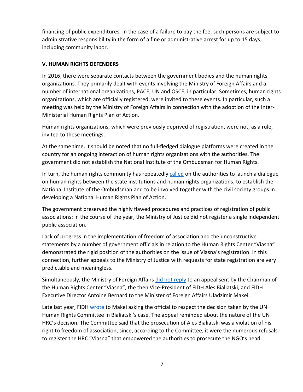financing of public expenditures. In the case of a failure to pay the fee, such persons are subject to administrative responsibility in the form of a fine or administrative arrest for up to 15 days, including community labor.

#### **V. HUMAN RIGHTS DEFENDERS**

In 2016, there were separate contacts between the government bodies and the human rights organizations. They primarily dealt with events involving the Ministry of Foreign Affairs and a number of international organizations, PACE, UN and OSCE, in particular. Sometimes, human rights organizations, which are officially registered, were invited to these events. In particular, such a meeting was held by the Ministry of Foreign Affairs in connection with the adoption of the Inter-Ministerial Human Rights Plan of Action.

Human rights organizations, which were previously deprived of registration, were not, as a rule, invited to these meetings.

At the same time, it should be noted that no full-fledged dialogue platforms were created in the country for an ongoing interaction of human rights organizations with the authorities. The government did not establish the National Institute of the Ombudsman for Human Rights.

In turn, the human rights community has repeatedly [called](https://spring96.org/en/news/83152) on the authorities to launch a dialogue on human rights between the state institutions and human rights organizations, to establish the National Institute of the Ombudsman and to be involved together with the civil society groups in developing a National Human Rights Plan of Action.

The government preserved the highly flawed procedures and practices of registration of public associations: in the course of the year, the Ministry of Justice did not register a single independent public association.

Lack of progress in the implementation of freedom of association and the unconstructive statements by a number of government officials in relation to the Human Rights Center "Viasna" demonstrated the rigid position of the authorities on the issue of Viasna's registration. In this connection, further appeals to the Ministry of Justice with requests for state registration are very predictable and meaningless.

Simultaneously, the Ministry of Foreign Affairs *did [not reply](https://spring96.org/en/news/82960)* to an appeal sent by the Chairman of the Human Rights Center "Viasna", the then Vice-President of FIDH Ales Bialiatski, and FIDH Executive Director Antoine Bernard to the Minister of Foreign Affairs Uladzimir Makei.

Late last year, FIDH [wrote](https://spring96.org/en/news/81793) to Makei asking the official to respect the decision taken by the UN Human Rights Committee in Bialiatski's case. The appeal reminded about the nature of the UN HRC's decision. The Committee said that the prosecution of Ales Bialiatski was a violation of his right to freedom of association, since, according to the Committee, it were the numerous refusals to register the HRC "Viasna" that empowered the authorities to prosecute the NGO's head.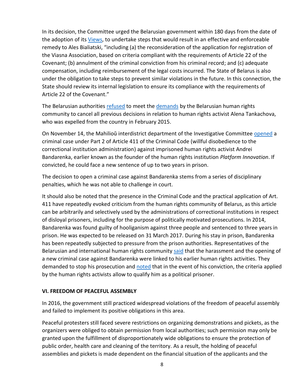In its decision, the Committee urged the Belarusian government within 180 days from the date of the adoption of its *Views*, to undertake steps that would result in an effective and enforceable remedy to Ales Bialiatski, "including (a) the reconsideration of the application for registration of the Viasna Association, based on criteria compliant with the requirements of Article 22 of the Covenant; (b) annulment of the criminal conviction from his criminal record; and (c) adequate compensation, including reimbursement of the legal costs incurred. The State of Belarus is also under the obligation to take steps to prevent similar violations in the future. In this connection, the State should review its internal legislation to ensure its compliance with the requirements of Article 22 of the Covenant."

The Belarusian authorities [refused](https://spring96.org/en/news/85285) to meet the [demands](https://spring96.org/en/news/82095) by the Belarusian human rights community to cancel all previous decisions in relation to human rights activist Alena Tankachova, who was expelled from the country in February 2015.

On November 14, the Mahilioŭ interdistrict department of the Investigative Committee [opened](https://spring96.org/en/news/85474) a criminal case under Part 2 of Article 411 of the Criminal Code (willful disobedience to the correctional institution administration) against imprisoned human rights activist Andrei Bandarenka, earlier known as the founder of the human rights institution *Platform Innovation*. If convicted, he could face a new sentence of up to two years in prison.

The decision to open a criminal case against Bandarenka stems from a series of disciplinary penalties, which he was not able to challenge in court.

It should also be noted that the presence in the Criminal Code and the practical application of Art. 411 have repeatedly evoked criticism from the human rights community of Belarus, as this article can be arbitrarily and selectively used by the administrations of correctional institutions in respect of disloyal prisoners, including for the purpose of politically motivated prosecutions. In 2014, Bandarenka was found guilty of hooliganism against three people and sentenced to three years in prison. He was expected to be released on 31 March 2017. During his stay in prison, Bandarenka has been repeatedly subjected to pressure from the prison authorities. Representatives of the Belarusian and international human rights community [said](https://spring96.org/en/news/85535) that the harassment and the opening of a new criminal case against Bandarenka were linked to his earlier human rights activities. They demanded to stop his prosecution and [noted](https://spring96.org/en/news/85508) that in the event of his conviction, the criteria applied by the human rights activists allow to qualify him as a political prisoner.

# **VI. FREEDOM OF PEACEFUL ASSEMBLY**

In 2016, the government still practiced widespread violations of the freedom of peaceful assembly and failed to implement its positive obligations in this area.

Peaceful protesters still faced severe restrictions on organizing demonstrations and pickets, as the organizers were obliged to obtain permission from local authorities; such permission may only be granted upon the fulfillment of disproportionately wide obligations to ensure the protection of public order, health care and cleaning of the territory. As a result, the holding of peaceful assemblies and pickets is made dependent on the financial situation of the applicants and the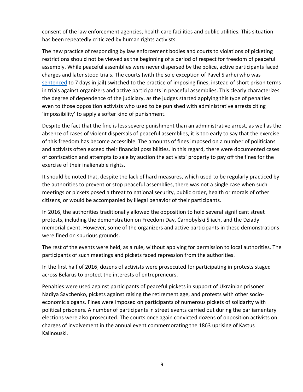consent of the law enforcement agencies, health care facilities and public utilities. This situation has been repeatedly criticized by human rights activists.

The new practice of responding by law enforcement bodies and courts to violations of picketing restrictions should not be viewed as the beginning of a period of respect for freedom of peaceful assembly. While peaceful assemblies were never dispersed by the police, active participants faced charges and later stood trials. The courts (with the sole exception of Pavel Siarhei who was [sentenced](https://spring96.org/en/news/83087) to 7 days in jail) switched to the practice of imposing fines, instead of short prison terms in trials against organizers and active participants in peaceful assemblies. This clearly characterizes the degree of dependence of the judiciary, as the judges started applying this type of penalties even to those opposition activists who used to be punished with administrative arrests citing 'impossibility' to apply a softer kind of punishment.

Despite the fact that the fine is less severe punishment than an administrative arrest, as well as the absence of cases of violent dispersals of peaceful assemblies, it is too early to say that the exercise of this freedom has become accessible. The amounts of fines imposed on a number of politicians and activists often exceed their financial possibilities. In this regard, there were documented cases of confiscation and attempts to sale by auction the activists' property to pay off the fines for the exercise of their inalienable rights.

It should be noted that, despite the lack of hard measures, which used to be regularly practiced by the authorities to prevent or stop peaceful assemblies, there was not a single case when such meetings or pickets posed a threat to national security, public order, health or morals of other citizens, or would be accompanied by illegal behavior of their participants.

In 2016, the authorities traditionally allowed the opposition to hold several significant street protests, including the demonstration on Freedom Day, Čarnobyĺski Šliach, and the Dziady memorial event. However, some of the organizers and active participants in these demonstrations were fined on spurious grounds.

The rest of the events were held, as a rule, without applying for permission to local authorities. The participants of such meetings and pickets faced repression from the authorities.

In the first half of 2016, dozens of activists were prosecuted for participating in protests staged across Belarus to protect the interests of entrepreneurs.

Penalties were used against participants of peaceful pickets in support of Ukrainian prisoner Nadiya Savchenko, pickets against raising the retirement age, and protests with other socioeconomic slogans. Fines were imposed on participants of numerous pickets of solidarity with political prisoners. A number of participants in street events carried out during the parliamentary elections were also prosecuted. The courts once again convicted dozens of opposition activists on charges of involvement in the annual event commemorating the 1863 uprising of Kastus Kalinouski.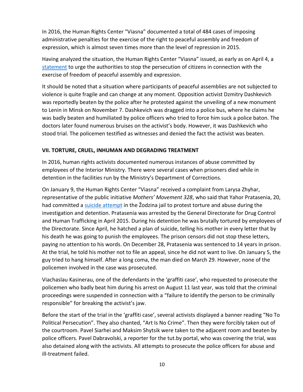In 2016, the Human Rights Center "Viasna" documented a total of 484 cases of imposing administrative penalties for the exercise of the right to peaceful assembly and freedom of expression, which is almost seven times more than the level of repression in 2015.

Having analyzed the situation, the Human Rights Center "Viasna" issued, as early as on April 4, a [statement](https://spring96.org/en/news/82745) to urge the authorities to stop the persecution of citizens in connection with the exercise of freedom of peaceful assembly and expression.

It should be noted that a situation where participants of peaceful assemblies are not subjected to violence is quite fragile and can change at any moment. Opposition activist Dzmitry Dashkevich was reportedly beaten by the police after he protested against the unveiling of a new monument to Lenin in Minsk on November 7. Dashkevich was dragged into a police bus, where he claims he was badly beaten and humiliated by police officers who tried to force him suck a police baton. The doctors later found numerous bruises on the activist's body. However, it was Dashkevich who stood trial. The policemen testified as witnesses and denied the fact the activist was beaten.

# **VII. TORTURE, CRUEL, INHUMAN AND DEGRADING TREATMENT**

In 2016, human rights activists documented numerous instances of abuse committed by employees of the Interior Ministry. There were several cases when prisoners died while in detention in the facilities run by the Ministry's Department of Corrections.

On January 9, the Human Rights Center "Viasna" received a complaint from Larysa Zhyhar, representative of the public initiative *Mothers' Movement 328*, who said that Yahor Pratasenia, 20, had committed a [suicide attempt](https://spring96.org/en/news/81855) in the Žodzina jail to protest torture and abuse during the investigation and detention. Pratasenia was arrested by the General Directorate for Drug Control and Human Trafficking in April 2015. During his detention he was brutally tortured by employees of the Directorate. Since April, he hatched a plan of suicide, telling his mother in every letter that by his death he was going to punish the employees. The prison censors did not stop these letters, paying no attention to his words. On December 28, Pratasenia was sentenced to 14 years in prison. At the trial, he told his mother not to file an appeal, since he did not want to live. On January 5, the guy tried to hang himself. After a long coma, the man died on March 29. However, none of the policemen involved in the case was prosecuted.

Viachaslau Kasinerau, one of the defendants in the 'graffiti case', who requested to prosecute the policemen who badly beat him during his arrest on August 11 last year, was told that the criminal proceedings were suspended in connection with a "failure to identify the person to be criminally responsible" for breaking the activist's jaw.

Before the start of the trial in the 'graffiti case', several activists displayed a banner reading "No To Political Persecution". They also chanted, "Art Is No Crime". Then they were forcibly taken out of the courtroom. Pavel Siarhei and Maksim Shytsik were taken to the adjacent room and beaten by police officers. Pavel Dabravolski, a reporter for the tut.by portal, who was covering the trial, was also detained along with the activists. All attempts to prosecute the police officers for abuse and ill-treatment failed.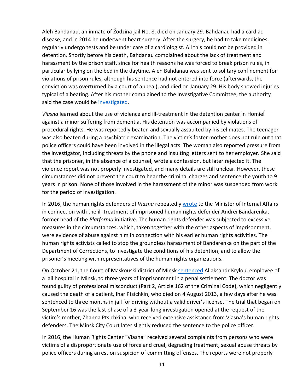Aleh Bahdanau, an inmate of Žodzina jail No. 8, died on January 29. Bahdanau had a cardiac disease, and in 2014 he underwent heart surgery. After the surgery, he had to take medicines, regularly undergo tests and be under care of a cardiologist. All this could not be provided in detention. Shortly before his death, Bahdanau complained about the lack of treatment and harassment by the prison staff, since for health reasons he was forced to break prison rules, in particular by lying on the bed in the daytime. Aleh Bahdanau was sent to solitary confinement for violations of prison rules, although his sentence had not entered into force (afterwards, the conviction was overturned by a court of appeal), and died on January 29. His body showed injuries typical of a beating. After his mother complained to the Investigative Committee, the authority said the case would be [investigated.](https://spring96.org/en/news/85252)

*Viasna* learned about the use of violence and ill-treatment in the detention center in Homieĺ against a minor suffering from dementia. His detention was accompanied by violations of procedural rights. He was reportedly beaten and sexually assaulted by his cellmates. The teenager was also beaten during a psychiatric examination. The victim's foster mother does not rule out that police officers could have been involved in the illegal acts. The woman also reported pressure from the investigator, including threats by the phone and insulting letters sent to her employer. She said that the prisoner, in the absence of a counsel, wrote a confession, but later rejected it. The violence report was not properly investigated, and many details are still unclear. However, these circumstances did not prevent the court to hear the criminal charges and sentence the youth to 9 years in prison. None of those involved in the harassment of the minor was suspended from work for the period of investigation.

In 2016, the human rights defenders of *Viasna* repeatedly [wrote](https://spring96.org/en/news/84009) to the Minister of Internal Affairs in connection with the ill-treatment of imprisoned human rights defender Andrei Bandarenka, former head of the *Platforma* initiative. The human rights defender was subjected to excessive measures in the circumstances, which, taken together with the other aspects of imprisonment, were evidence of abuse against him in connection with his earlier human rights activities. The human rights activists called to stop the groundless harassment of Bandarenka on the part of the Department of Corrections, to investigate the conditions of his detention, and to allow the prisoner's meeting with representatives of the human rights organizations.

On October 21, the Court of Maskoŭski district of Minsk [sentenced](https://spring96.org/en/news/85268) Aliaksandr Krylou, employee of a jail hospital in Minsk, to three years of imprisonment in a penal settlement. The doctor was found guilty of professional misconduct (Part 2, Article 162 of the Criminal Code), which negligently caused the death of a patient, Ihar Ptsichkin, who died on 4 August 2013, a few days after he was sentenced to three months in jail for driving without a valid driver's license. The trial that began on September 16 was the last phase of a 3-year-long investigation opened at the request of the victim's mother, Zhanna Ptsichkina, who received extensive assistance from Viasna's human rights defenders. The Minsk City Court later slightly reduced the sentence to the police officer.

In 2016, the Human Rights Center "Viasna" received several complaints from persons who were victims of a disproportionate use of force and cruel, degrading treatment, sexual abuse threats by police officers during arrest on suspicion of committing offenses. The reports were not properly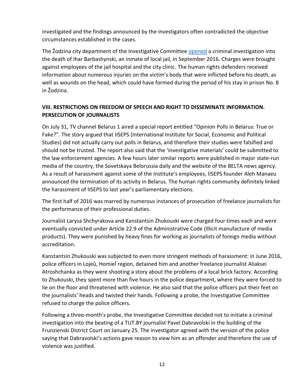investigated and the findings announced by the investigators often contradicted the objective circumstances established in the cases.

The Žodzina city department of the Investigative Committee [opened](https://spring96.org/en/news/85637) a criminal investigation into the death of Ihar Barbashynski, an inmate of local jail, in September 2016. Charges were brought against employees of the jail hospital and the city clinic. The human rights defenders received information about numerous injuries on the victim's body that were inflicted before his death, as well as wounds on the head, which could have formed during the period of his stay in prison No. 8 in Žodzina.

# **VIII. RESTRICTIONS ON FREEDOM OF SPEECH AND RIGHT TO DISSEMINATE INFORMATION. PERSECUTION OF JOURNALISTS**

On July 31, TV channel Belarus 1 aired a special report entitled "Opinion Polls in Belarus: True or Fake?". The story argued that IISEPS (International Institute for Social, Economic and Political Studies) did not actually carry out polls in Belarus, and therefore their studies were falsified and should not be trusted. The report also said that the 'investigative materials' could be submitted to the law enforcement agencies. A few hours later similar reports were published in major state-run media of the country, the Sovetskaya Belorussia daily and the website of the BELTA news agency. As a result of harassment against some of the Institute's employees, IISEPS founder Aleh Manaeu announced the termination of its activity in Belarus. The human rights community definitely linked the harassment of IISEPS to last year's parliamentary elections.

The first half of 2016 was marred by numerous instances of prosecution of freelance journalists for the performance of their professional duties.

Journalist Larysa Shchyrakova and Kanstantsin Zhukouski were charged four times each and were eventually convicted under Article 22.9 of the Administrative Code (Illicit manufacture of media products). They were punished by heavy fines for working as journalists of foreign media without accreditation.

Kanstantsin Zhukouski was subjected to even more stringent methods of harassment: in June 2016, police officers in Lojeŭ, Homieĺ region, detained him and another freelance journalist Aliaksei Atroshchanka as they were shooting a story about the problems of a local brick factory. According to Zhukouski, they spent more than five hours in the police department, where they were forced to lie on the floor and threatened with violence. He also said that the police officers put their feet on the journalists' heads and twisted their hands. Following a probe, the Investigative Committee refused to charge the police officers.

Following a three-month's probe, the Investigative Committee decided not to initiate a criminal investigation into the beating of a TUT.BY journalist Pavel Dabravolski in the building of the Frunzienski District Court on January 25. The investigator agreed with the version of the police saying that Dabravolski's actions gave reason to view him as an offender and therefore the use of violence was justified.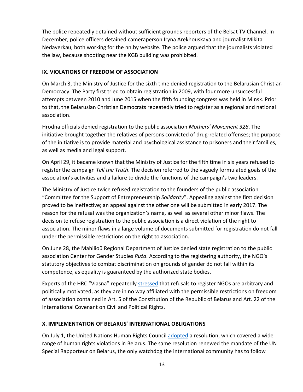The police repeatedly detained without sufficient grounds reporters of the Belsat TV Channel. In December, police officers detained cameraperson Iryna Arekhouskaya and journalist Mikita Nedaverkau, both working for the nn.by website. The police argued that the journalists violated the law, because shooting near the KGB building was prohibited.

# **IX. VIOLATIONS OF FREEDOM OF ASSOCIATION**

On March 3, the Ministry of Justice for the sixth time denied registration to the Belarusian Christian Democracy. The Party first tried to obtain registration in 2009, with four more unsuccessful attempts between 2010 and June 2015 when the fifth founding congress was held in Minsk. Prior to that, the Belarusian Christian Democrats repeatedly tried to register as a regional and national association.

Hrodna officials denied registration to the public association *Mothers' Movement 328*. The initiative brought together the relatives of persons convicted of drug-related offenses; the purpose of the initiative is to provide material and psychological assistance to prisoners and their families, as well as media and legal support.

On April 29, it became known that the Ministry of Justice for the fifth time in six years refused to register the campaign *Tell the Truth*. The decision referred to the vaguely formulated goals of the association's activities and a failure to divide the functions of the campaign's two leaders.

The Ministry of Justice twice refused registration to the founders of the public association "Committee for the Support of Entrepreneurship *Solidarity*". Appealing against the first decision proved to be ineffective; an appeal against the other one will be submitted in early 2017. The reason for the refusal was the organization's name, as well as several other minor flaws. The decision to refuse registration to the public association is a direct violation of the right to association. The minor flaws in a large volume of documents submitted for registration do not fall under the permissible restrictions on the right to association.

On June 28, the Mahilioŭ Regional Department of Justice denied state registration to the public association Center for Gender Studies *Ruža*. According to the registering authority, the NGO's statutory objectives to combat discrimination on grounds of gender do not fall within its competence, as equality is guaranteed by the authorized state bodies.

Experts of the HRC "Viasna" repeatedly [stressed](https://spring96.org/en/news/83564) that refusals to register NGOs are arbitrary and politically motivated, as they are in no way affiliated with the permissible restrictions on freedom of association contained in Art. 5 of the Constitution of the Republic of Belarus and Art. 22 of the International Covenant on Civil and Political Rights.

# **X. IMPLEMENTATION OF BELARUS' INTERNATIONAL OBLIGATIONS**

On July 1, the United Nations Human Rights Council [adopted](https://spring96.org/en/news/83628) a resolution, which covered a wide range of human rights violations in Belarus. The same resolution renewed the mandate of the UN Special Rapporteur on Belarus, the only watchdog the international community has to follow